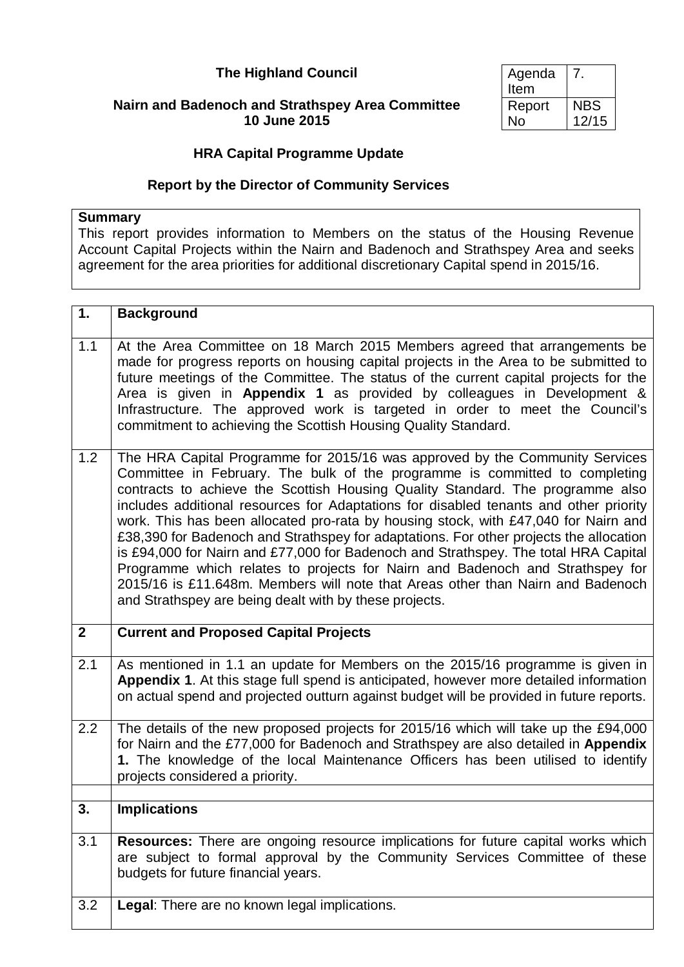# **The Highland Council**

## **Nairn and Badenoch and Strathspey Area Committee 10 June 2015**

| Agenda |            |
|--------|------------|
| Item   |            |
| Report | <b>NBS</b> |
| No     | 12/15      |

# **HRA Capital Programme Update**

### **Report by the Director of Community Services**

### **Summary**

This report provides information to Members on the status of the Housing Revenue Account Capital Projects within the Nairn and Badenoch and Strathspey Area and seeks agreement for the area priorities for additional discretionary Capital spend in 2015/16.

| 1.               | <b>Background</b>                                                                                                                                                                                                                                                                                                                                                                                                                                                                                                                                                                                                                                                                                                                                                                                                                            |
|------------------|----------------------------------------------------------------------------------------------------------------------------------------------------------------------------------------------------------------------------------------------------------------------------------------------------------------------------------------------------------------------------------------------------------------------------------------------------------------------------------------------------------------------------------------------------------------------------------------------------------------------------------------------------------------------------------------------------------------------------------------------------------------------------------------------------------------------------------------------|
| 1.1              | At the Area Committee on 18 March 2015 Members agreed that arrangements be<br>made for progress reports on housing capital projects in the Area to be submitted to<br>future meetings of the Committee. The status of the current capital projects for the<br>Area is given in Appendix 1 as provided by colleagues in Development &<br>Infrastructure. The approved work is targeted in order to meet the Council's<br>commitment to achieving the Scottish Housing Quality Standard.                                                                                                                                                                                                                                                                                                                                                       |
| 1.2              | The HRA Capital Programme for 2015/16 was approved by the Community Services<br>Committee in February. The bulk of the programme is committed to completing<br>contracts to achieve the Scottish Housing Quality Standard. The programme also<br>includes additional resources for Adaptations for disabled tenants and other priority<br>work. This has been allocated pro-rata by housing stock, with £47,040 for Nairn and<br>£38,390 for Badenoch and Strathspey for adaptations. For other projects the allocation<br>is £94,000 for Nairn and £77,000 for Badenoch and Strathspey. The total HRA Capital<br>Programme which relates to projects for Nairn and Badenoch and Strathspey for<br>2015/16 is £11.648m. Members will note that Areas other than Nairn and Badenoch<br>and Strathspey are being dealt with by these projects. |
|                  |                                                                                                                                                                                                                                                                                                                                                                                                                                                                                                                                                                                                                                                                                                                                                                                                                                              |
| $\boldsymbol{2}$ | <b>Current and Proposed Capital Projects</b>                                                                                                                                                                                                                                                                                                                                                                                                                                                                                                                                                                                                                                                                                                                                                                                                 |
| 2.1              | As mentioned in 1.1 an update for Members on the 2015/16 programme is given in<br>Appendix 1. At this stage full spend is anticipated, however more detailed information<br>on actual spend and projected outturn against budget will be provided in future reports.                                                                                                                                                                                                                                                                                                                                                                                                                                                                                                                                                                         |
| 2.2              | The details of the new proposed projects for 2015/16 which will take up the £94,000<br>for Nairn and the £77,000 for Badenoch and Strathspey are also detailed in Appendix<br>1. The knowledge of the local Maintenance Officers has been utilised to identify<br>projects considered a priority.                                                                                                                                                                                                                                                                                                                                                                                                                                                                                                                                            |
| 3.               | <b>Implications</b>                                                                                                                                                                                                                                                                                                                                                                                                                                                                                                                                                                                                                                                                                                                                                                                                                          |
|                  |                                                                                                                                                                                                                                                                                                                                                                                                                                                                                                                                                                                                                                                                                                                                                                                                                                              |
| 3.1              | Resources: There are ongoing resource implications for future capital works which<br>are subject to formal approval by the Community Services Committee of these<br>budgets for future financial years.                                                                                                                                                                                                                                                                                                                                                                                                                                                                                                                                                                                                                                      |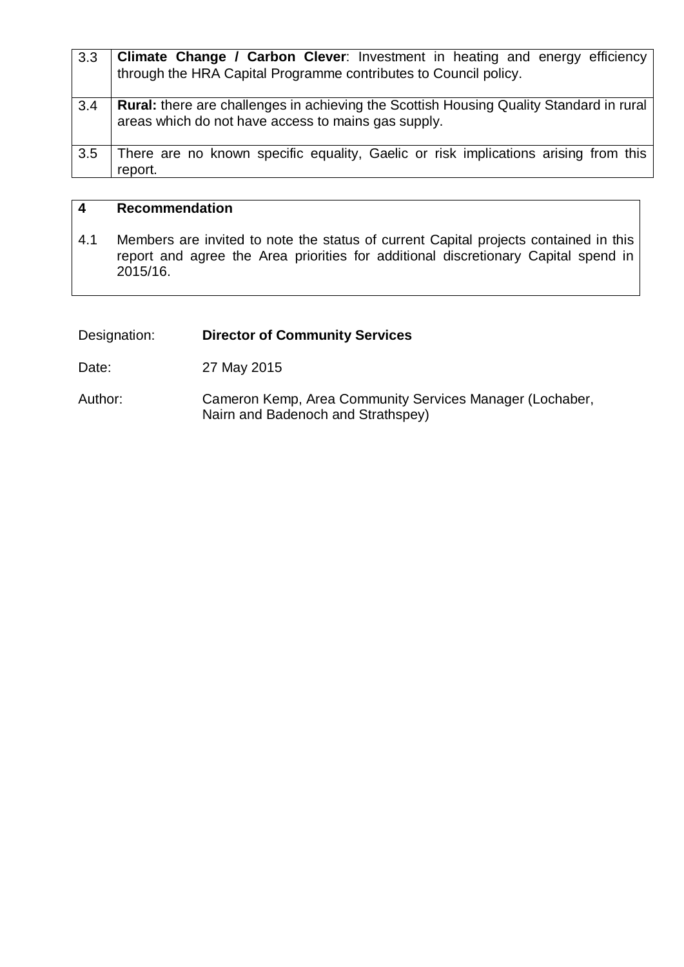| 3.3 | Climate Change / Carbon Clever: Investment in heating and energy efficiency<br>through the HRA Capital Programme contributes to Council policy.       |
|-----|-------------------------------------------------------------------------------------------------------------------------------------------------------|
| 3.4 | <b>Rural:</b> there are challenges in achieving the Scottish Housing Quality Standard in rural<br>areas which do not have access to mains gas supply. |
| 3.5 | There are no known specific equality, Gaelic or risk implications arising from this<br>report.                                                        |

#### **4 Recommendation**

4.1 Members are invited to note the status of current Capital projects contained in this report and agree the Area priorities for additional discretionary Capital spend in 2015/16.

# Designation: **Director of Community Services**

Date: 27 May 2015

Author: Cameron Kemp, Area Community Services Manager (Lochaber, Nairn and Badenoch and Strathspey)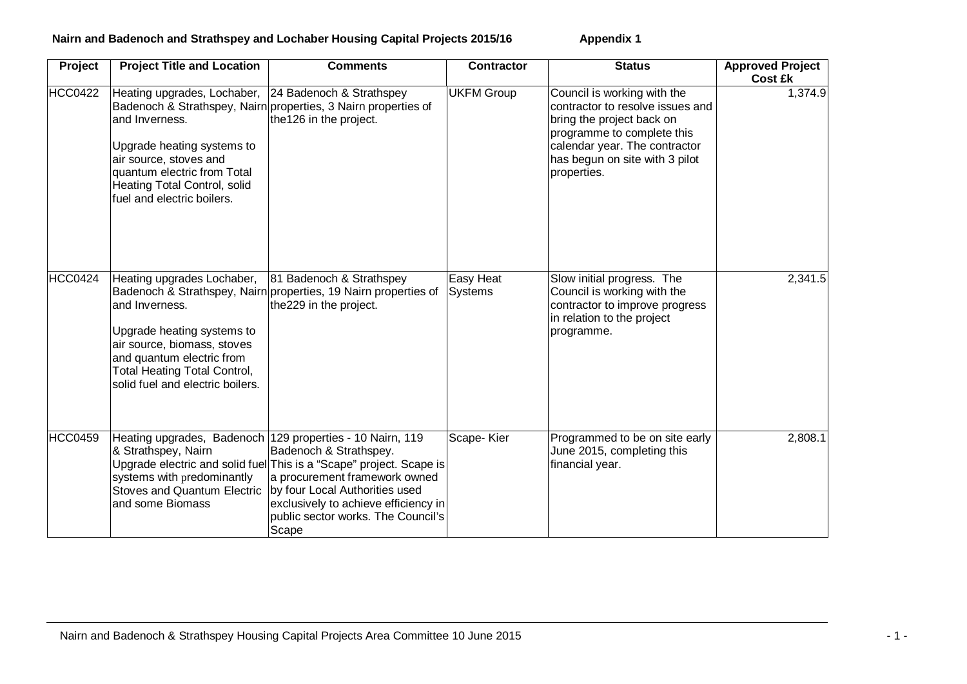## **Nairn and Badenoch and Strathspey and Lochaber Housing Capital Projects 2015/16 Appendix 1**

| Project        | <b>Project Title and Location</b>                                                                                                                                                                                           | <b>Comments</b>                                                                                                                                                                                                                                                                    | <b>Contractor</b>           | <b>Status</b>                                                                                                                                                                                                | <b>Approved Project</b><br><b>Cost £k</b> |
|----------------|-----------------------------------------------------------------------------------------------------------------------------------------------------------------------------------------------------------------------------|------------------------------------------------------------------------------------------------------------------------------------------------------------------------------------------------------------------------------------------------------------------------------------|-----------------------------|--------------------------------------------------------------------------------------------------------------------------------------------------------------------------------------------------------------|-------------------------------------------|
| <b>HCC0422</b> | Heating upgrades, Lochaber, 24 Badenoch & Strathspey<br>and Inverness.<br>Upgrade heating systems to<br>air source, stoves and<br>quantum electric from Total<br>Heating Total Control, solid<br>fuel and electric boilers. | Badenoch & Strathspey, Nairn properties, 3 Nairn properties of<br>the 126 in the project.                                                                                                                                                                                          | <b>UKFM Group</b>           | Council is working with the<br>contractor to resolve issues and<br>bring the project back on<br>programme to complete this<br>calendar year. The contractor<br>has begun on site with 3 pilot<br>properties. | 1,374.9                                   |
| <b>HCC0424</b> | Heating upgrades Lochaber,<br>and Inverness.<br>Upgrade heating systems to<br>air source, biomass, stoves<br>and quantum electric from<br><b>Total Heating Total Control,</b><br>solid fuel and electric boilers.           | 81 Badenoch & Strathspey<br>Badenoch & Strathspey, Nairn properties, 19 Nairn properties of<br>the229 in the project.                                                                                                                                                              | Easy Heat<br><b>Systems</b> | Slow initial progress. The<br>Council is working with the<br>contractor to improve progress<br>in relation to the project<br>programme.                                                                      | 2,341.5                                   |
| <b>HCC0459</b> | & Strathspey, Nairn<br>systems with predominantly<br>Stoves and Quantum Electric   by four Local Authorities used<br>and some Biomass                                                                                       | Heating upgrades, Badenoch 129 properties - 10 Nairn, 119<br>Badenoch & Strathspey.<br>Upgrade electric and solid fuel This is a "Scape" project. Scape is<br>a procurement framework owned<br>exclusively to achieve efficiency in<br>public sector works. The Council's<br>Scape | Scape-Kier                  | Programmed to be on site early<br>June 2015, completing this<br>financial year.                                                                                                                              | 2,808.1                                   |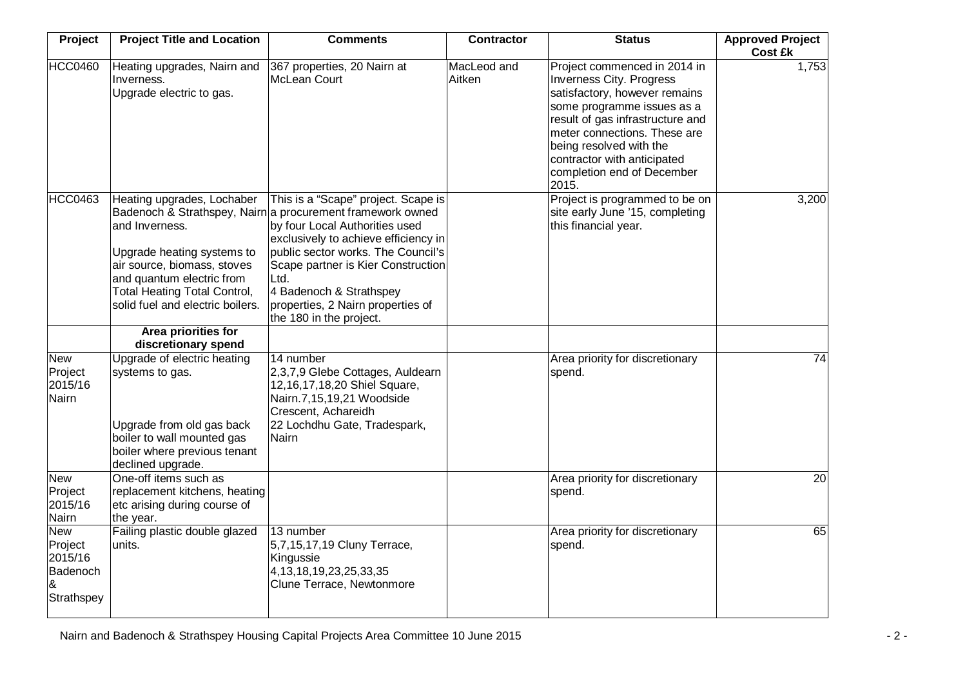| Project                                                         | <b>Project Title and Location</b>                                                                                                                                                                                                        | <b>Comments</b>                                                                                                                                                                                                                                                                                                                                            | <b>Contractor</b>     | <b>Status</b>                                                                                                                                                                                                                                                                                       | <b>Approved Project</b><br><b>Cost £k</b> |
|-----------------------------------------------------------------|------------------------------------------------------------------------------------------------------------------------------------------------------------------------------------------------------------------------------------------|------------------------------------------------------------------------------------------------------------------------------------------------------------------------------------------------------------------------------------------------------------------------------------------------------------------------------------------------------------|-----------------------|-----------------------------------------------------------------------------------------------------------------------------------------------------------------------------------------------------------------------------------------------------------------------------------------------------|-------------------------------------------|
| <b>HCC0460</b>                                                  | Heating upgrades, Nairn and<br>Inverness.<br>Upgrade electric to gas.                                                                                                                                                                    | 367 properties, 20 Nairn at<br>McLean Court                                                                                                                                                                                                                                                                                                                | MacLeod and<br>Aitken | Project commenced in 2014 in<br><b>Inverness City. Progress</b><br>satisfactory, however remains<br>some programme issues as a<br>result of gas infrastructure and<br>meter connections. These are<br>being resolved with the<br>contractor with anticipated<br>completion end of December<br>2015. | 1,753                                     |
| <b>HCC0463</b>                                                  | Heating upgrades, Lochaber<br>and Inverness.<br>Upgrade heating systems to<br>air source, biomass, stoves<br>and quantum electric from<br><b>Total Heating Total Control,</b><br>solid fuel and electric boilers.<br>Area priorities for | This is a "Scape" project. Scape is<br>Badenoch & Strathspey, Nairn a procurement framework owned<br>by four Local Authorities used<br>exclusively to achieve efficiency in<br>public sector works. The Council's<br>Scape partner is Kier Construction<br>Ltd.<br>4 Badenoch & Strathspey<br>properties, 2 Nairn properties of<br>the 180 in the project. |                       | Project is programmed to be on<br>site early June '15, completing<br>this financial year.                                                                                                                                                                                                           | 3,200                                     |
| <b>New</b><br>Project<br>2015/16<br>Nairn                       | discretionary spend<br>Upgrade of electric heating<br>systems to gas.<br>Upgrade from old gas back<br>boiler to wall mounted gas<br>boiler where previous tenant<br>declined upgrade.                                                    | 14 number<br>2,3,7,9 Glebe Cottages, Auldearn<br>12,16,17,18,20 Shiel Square,<br>Nairn.7,15,19,21 Woodside<br>Crescent, Achareidh<br>22 Lochdhu Gate, Tradespark,<br>Nairn                                                                                                                                                                                 |                       | Area priority for discretionary<br>spend.                                                                                                                                                                                                                                                           | 74                                        |
| <b>New</b><br>Project<br>2015/16<br>Nairn                       | One-off items such as<br>replacement kitchens, heating<br>etc arising during course of<br>the year.                                                                                                                                      |                                                                                                                                                                                                                                                                                                                                                            |                       | Area priority for discretionary<br>spend.                                                                                                                                                                                                                                                           | 20                                        |
| <b>New</b><br>Project<br>2015/16<br>Badenoch<br>&<br>Strathspey | Failing plastic double glazed<br>units.                                                                                                                                                                                                  | 13 number<br>5,7,15,17,19 Cluny Terrace,<br>Kingussie<br>4, 13, 18, 19, 23, 25, 33, 35<br>Clune Terrace, Newtonmore                                                                                                                                                                                                                                        |                       | Area priority for discretionary<br>spend.                                                                                                                                                                                                                                                           | 65                                        |